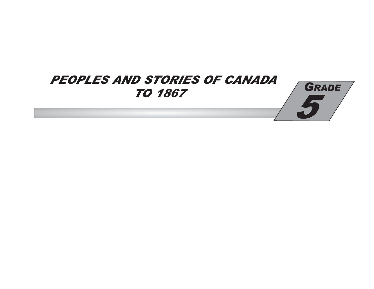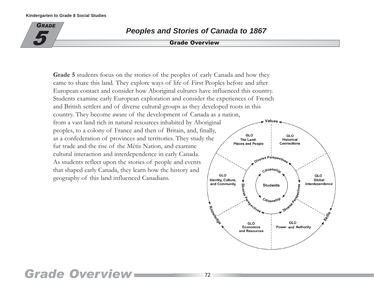

# **Peoples and Stories of Canada to 1867**

## **Grade Overview**

Grade 5 students focus on the stories of the peoples of early Canada and how they came to share this land. They explore ways of life of First Peoples before and after European contact and consider how Aboriginal cultures have influenced this country. Students examine early European exploration and consider the experiences of French and British settlers and of diverse cultural groups as they developed roots in this country. They become aware of the development of Canada as a nation, from a vast land rich in natural resources inhabited by Aboriginal peoples, to a colony of France and then of Britain, and, finally, GLO as a confederation of provinces and territories. They study the The Land: fur trade and the rise of the Métis Nation, and examine cultural interaction and interdependence in early Canada. As students reflect upon the stories of people and events that shaped early Canada, they learn how the history and GLO geography of this land influenced Canadians.



# **Grade Overview**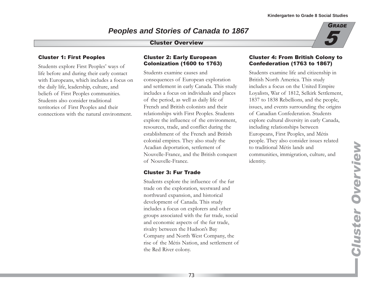# **Peoples and Stories of Canada to 1867**

# **Cluster Overview**



### **Cluster 1: First Peoples**

Students explore First Peoples' ways of life before and during their early contact with Europeans, which includes a focus on the daily life, leadership, culture, and beliefs of First Peoples communities. Students also consider traditional territories of First Peoples and their connections with the natural environment.

### **Cluster 2: Early European Colonization (1600 to 1763)**

Students examine causes and consequences of European exploration and settlement in early Canada. This study includes a focus on individuals and places of the period, as well as daily life of French and British colonists and their relationships with First Peoples. Students explore the influence of the environment, resources, trade, and conflict during the establishment of the French and British colonial empires. They also study the Acadian deportation, settlement of Nouvelle-France, and the British conquest of Nouvelle-France.

# **Cluster 3: Fur Trade**

Students explore the influence of the fur trade on the exploration, westward and northward expansion, and historical development of Canada. This study includes a focus on explorers and other groups associated with the fur trade, social and economic aspects of the fur trade, rivalry between the Hudson's Bay Company and North West Company, the rise of the Métis Nation, and settlement of the Red River colony.

### **Cluster 4: From British Colony to Confederation (1763 to 1867)**

Students examine life and citizenship in British North America. This study includes a focus on the United Empire Loyalists, War of 1812, Selkirk Settlement, 1837 to 1838 Rebellions, and the people, issues, and events surrounding the origins of Canadian Confederation. Students explore cultural diversity in early Canada, including relationships between Europeans, First Peoples, and Métis people. They also consider issues related to traditional Métis lands and communities, immigration, culture, and identity.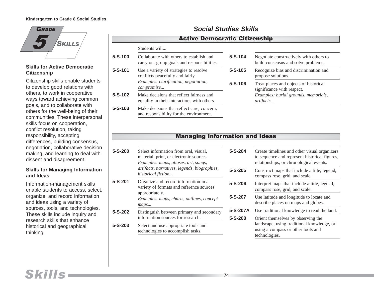

### **Skills for Active Democratic Citizenship**

Citizenship skills enable students to develop good relations with others, to work in cooperative ways toward achieving common goals, and to collaborate with others for the well-being of their communities. These interpersonal skills focus on cooperation, conflict resolution, taking responsibility, accepting differences, building consensus, negotiation, collaborative decision making, and learning to deal with dissent and disagreement.

### **Skills for Managing Information and Ideas**

Information-management skills enable students to access, select, organize, and record information and ideas using a variety of sources, tools, and technologies. These skills include inquiry and research skills that enhance historical and geographical thinking.

# **Social Studies Skills**

# Active Democratic Citizenship

| 5-S-100 | Collaborate with others to establish and<br>carry out group goals and responsibilities. | $5 - S - 104$ | Negotiate constructively with others to<br>build consensus and solve problems. |
|---------|-----------------------------------------------------------------------------------------|---------------|--------------------------------------------------------------------------------|
| 5-S-101 | Use a variety of strategies to resolve<br>conflicts peacefully and fairly.              | $5 - S - 105$ | Recognize bias and discrimination and<br>propose solutions.                    |
|         | Examples: clarification, negotiation,<br><i>compromise</i>                              | $5 - S - 106$ | Treat places and objects of historical<br>significance with respect.           |
| 5-S-102 | Make decisions that reflect fairness and<br>equality in their interactions with others. |               | Examples: burial grounds, memorials,<br>artifacts                              |
| 5-S-103 | Make decisions that reflect care, concern,<br>and responsibility for the environment.   |               |                                                                                |

# **Managing Information and Ideas**

|                                                                                                                                                                                                           | $5 - S - 204$            |
|-----------------------------------------------------------------------------------------------------------------------------------------------------------------------------------------------------------|--------------------------|
| 5-S-200<br>Select information from oral, visual,<br>material, print, or electronic sources.<br>Examples: maps, atlases, art, songs,<br>artifacts, narratives, legends, biographies,<br>historical fiction |                          |
| Organize and record information in a<br>variety of formats and reference sources<br>appropriately.<br>Examples: maps, charts, outlines, concept<br>maps                                                   | $5 - S - 206$<br>5-S-207 |
| 5-S-202<br>Distinguish between primary and secondary<br>information sources for research.                                                                                                                 |                          |
| 5-S-203<br>Select and use appropriate tools and<br>technologies to accomplish tasks.                                                                                                                      |                          |
|                                                                                                                                                                                                           |                          |

| 5-S-204  | Create timelines and other visual organizers<br>to sequence and represent historical figures,<br>relationships, or chronological events. |
|----------|------------------------------------------------------------------------------------------------------------------------------------------|
| 5-S-205  | Construct maps that include a title, legend,<br>compass rose, grid, and scale.                                                           |
| 5-S-206  | Interpret maps that include a title, legend,<br>compass rose, grid, and scale.                                                           |
| 5-S-207  | Use latitude and longitude to locate and<br>describe places on maps and globes.                                                          |
| 5-S-207A | Use traditional knowledge to read the land.                                                                                              |
| 5-S-208  | Orient themselves by observing the<br>landscape, using traditional knowledge, or<br>using a compass or other tools and<br>technologies.  |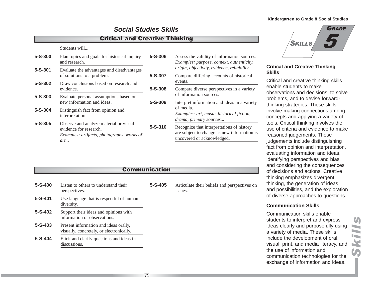# **Social Studies Skills**

# **Critical and Creative Thinking**

#### Students will...

| $5 - S - 300$ | $5 - S - 306$<br>Plan topics and goals for historical inquiry<br>and research.                                        |               |
|---------------|-----------------------------------------------------------------------------------------------------------------------|---------------|
| $5 - S - 301$ | Evaluate the advantages and disadvantages<br>of solutions to a problem.                                               | $5 - S - 307$ |
| $5 - S - 302$ | Draw conclusions based on research and<br>evidence.                                                                   | $5 - S - 308$ |
| $5 - S - 303$ | Evaluate personal assumptions based on<br>new information and ideas.                                                  | $5 - S - 309$ |
| $5 - S - 304$ | Distinguish fact from opinion and<br>interpretation.                                                                  |               |
| $5 - S - 305$ | Observe and analyze material or visual<br>evidence for research.<br>Examples: artifacts, photographs, works of<br>art | $5 - S - 310$ |

| 5-S-306 | Assess the validity of information sources.<br><i>Examples: purpose, context, authenticity,</i><br>origin, objectivity, evidence, reliability |
|---------|-----------------------------------------------------------------------------------------------------------------------------------------------|
| 5-S-307 | Compare differing accounts of historical<br>events.                                                                                           |
| 5-S-308 | Compare diverse perspectives in a variety<br>of information sources.                                                                          |
| 5-S-309 | Interpret information and ideas in a variety<br>of media.<br>Examples: art, music, historical fiction,<br>drama, primary sources              |
| 5-S-310 | Recognize that interpretations of history<br>are subject to change as new information is<br>uncovered or acknowledged.                        |

# 5 **GRADE SKILLS**

### **Critical and Creative Thinking Skills**

Critical and creative thinking skills enable students to make observations and decisions, to solve problems, and to devise forwardthinking strategies. These skills involve making connections among concepts and applying a variety of tools. Critical thinking involves the use of criteria and evidence to make reasoned judgements. These judgements include distinguishing fact from opinion and interpretation, evaluating information and ideas, identifying perspectives and bias, and considering the consequences f decisions and actions. Creative inking emphasizes divergent inking, the generation of ideas nd possibilities, and the exploration f diverse approaches to questions.

### **Communication Skills**

ommunication skills enable udents to interpret and express leas clearly and purposefully using variety of media. These skills iclude the development of oral, isual, print, and media literacy, and the use of information and communication technologies for the exchange of information and ideas.

| vviilinuilivativii                                                                |               |                                                         |  |  |
|-----------------------------------------------------------------------------------|---------------|---------------------------------------------------------|--|--|
| Listen to others to understand their<br>perspectives.                             | $5 - S - 405$ | Articulate their beliefs and perspectives on<br>issues. |  |  |
| Use language that is respectful of human<br>diversity.                            |               |                                                         |  |  |
| Support their ideas and opinions with<br>information or observations.             |               |                                                         |  |  |
| Present information and ideas orally,<br>visually, concretely, or electronically. |               |                                                         |  |  |
| Elicit and clarify questions and ideas in<br>discussions.                         |               |                                                         |  |  |
|                                                                                   |               |                                                         |  |  |

Skills

Communication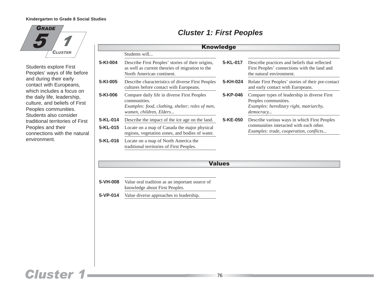

Students explore First Peoples' ways of life before and during their early contact with Europeans, which includes a focus on the daily life, leadership, culture, and beliefs of First Peoples communities. Students also consider traditional territories of First Peoples and their connections with the natural environment.

| <b>Knowledge</b> |                                                                                                                                            |          |                                                                                                                              |  |
|------------------|--------------------------------------------------------------------------------------------------------------------------------------------|----------|------------------------------------------------------------------------------------------------------------------------------|--|
|                  | Students will                                                                                                                              |          |                                                                                                                              |  |
| 5-KI-004         | Describe First Peoples' stories of their origins,<br>as well as current theories of migration to the<br>North American continent.          | 5-KL-017 | Describe practices and beliefs that reflected<br>First Peoples' connections with the land and<br>the natural environment.    |  |
| 5-KI-005         | Describe characteristics of diverse First Peoples<br>cultures before contact with Europeans.                                               | 5-KH-024 | Relate First Peoples' stories of their pre-contact<br>and early contact with Europeans.                                      |  |
| 5-KI-006         | Compare daily life in diverse First Peoples<br>communities.<br>Examples: food, clothing, shelter; roles of men,<br>women, children, Elders | 5-KP-046 | Compare types of leadership in diverse First<br>Peoples communities.<br>Examples: hereditary right, matriarchy,<br>democracy |  |
| 5-KL-014         | Describe the impact of the ice age on the land.                                                                                            | 5-KE-050 | Describe various ways in which First Peoples                                                                                 |  |
| $5-KL-015$       | Locate on a map of Canada the major physical<br>regions, vegetation zones, and bodies of water.                                            |          | communities interacted with each other.<br>Examples: trade, cooperation, conflicts                                           |  |
| 5-KL-016         | Locate on a map of North America the<br>traditional territories of First Peoples.                                                          |          |                                                                                                                              |  |

# **Cluster 1: First Peoples**

**Values** 

**5-VH-008** Value oral tradition as an important source of knowledge about First Peoples.

**5-VP-014** Value diverse approaches to leadership.

# **Cluster 1**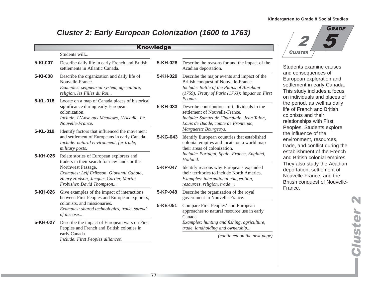#

**CLUSTER** 

5

# **Cluster 2: Early European Colonization (1600 to 1763)**

| Students will                                                                                                                                                                                                                     |                                                                                                     |                                                                                                                                                                                                                        |
|-----------------------------------------------------------------------------------------------------------------------------------------------------------------------------------------------------------------------------------|-----------------------------------------------------------------------------------------------------|------------------------------------------------------------------------------------------------------------------------------------------------------------------------------------------------------------------------|
| Describe daily life in early French and British<br>settlements in Atlantic Canada.                                                                                                                                                | 5-KH-028                                                                                            | Describe the reasons for and the impact of the<br>Acadian deportation.                                                                                                                                                 |
| Describe the organization and daily life of<br>Nouvelle-France.<br>Examples: seigneurial system, agriculture,<br>religion, les Filles du Roi                                                                                      | 5-KH-029                                                                                            | Describe the major events and impact of the<br>British conquest of Nouvelle-France.<br>Include: Battle of the Plains of Abraham<br>(1759), Treaty of Paris (1763); impact on First                                     |
| Locate on a map of Canada places of historical<br>significance during early European<br>colonization.<br>Include: L'Anse aux Meadows, L'Acadie, La<br>Nouvelle-France.                                                            | 5-KH-033                                                                                            | Peoples.<br>Describe contributions of individuals in the<br>settlement of Nouvelle-France.<br>Include: Samuel de Champlain, Jean Talon,<br>Louis de Buade, comte de Frontenac,<br>Marguerite Bourgeoys.                |
| and settlement of Europeans in early Canada.<br>Include: natural environment, fur trade,<br>military posts.                                                                                                                       | 5-KG-043                                                                                            | Identify European countries that established<br>colonial empires and locate on a world map<br>their areas of colonization.                                                                                             |
| Relate stories of European explorers and<br>traders in their search for new lands or the<br>Northwest Passage.<br>Examples: Leif Eriksson, Giovanni Caboto,<br>Henry Hudson, Jacques Cartier, Martin<br>Frobisher, David Thompson | 5-KP-047                                                                                            | Include: Portugal, Spain, France, England,<br>Holland.<br>Identify reasons why Europeans expanded<br>their territories to include North America.<br>Examples: international competition,<br>resources, religion, trade |
| Give examples of the impact of interactions<br>between First Peoples and European explorers,                                                                                                                                      | 5-KP-048                                                                                            | Describe the organization of the royal<br>government in Nouvelle-France.                                                                                                                                               |
| colonists, and missionaries.<br>Examples: shared technologies, trade, spread<br>of disease                                                                                                                                        | 5-KE-051                                                                                            | Compare First Peoples' and European<br>approaches to natural resource use in early<br>Canada.                                                                                                                          |
| Describe the impact of European wars on First<br>Peoples and French and British colonies in                                                                                                                                       |                                                                                                     | Examples: hunting and fishing, agriculture,<br>trade, landholding and ownership<br>(continued on the next page)                                                                                                        |
|                                                                                                                                                                                                                                   | Identify factors that influenced the movement<br>early Canada.<br>Include: First Peoples alliances. |                                                                                                                                                                                                                        |



# **Cluster 2** luster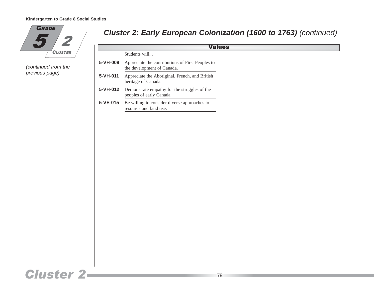

(continued from the previous page)

# **Cluster 2: Early European Colonization (1600 to 1763)** (continued)

| <b>Values</b> |                                                                                |  |
|---------------|--------------------------------------------------------------------------------|--|
|               | Students will                                                                  |  |
| 5-VH-009      | Appreciate the contributions of First Peoples to<br>the development of Canada. |  |
| 5-VH-011      | Appreciate the Aboriginal, French, and British<br>heritage of Canada.          |  |
| 5-VH-012      | Demonstrate empathy for the struggles of the<br>peoples of early Canada.       |  |
| 5-VE-015      | Be willing to consider diverse approaches to<br>resource and land use.         |  |

# **Cluster 2-**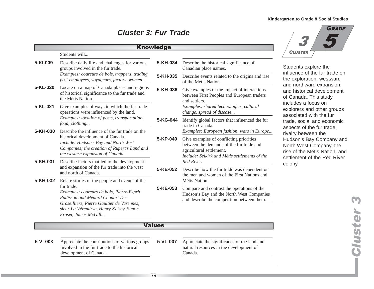# **Cluster 3: Fur Trade**

|          |                                                                                                                                                                                                                 | <b>Knowledge</b> |                                                                                                                                                                                                                |
|----------|-----------------------------------------------------------------------------------------------------------------------------------------------------------------------------------------------------------------|------------------|----------------------------------------------------------------------------------------------------------------------------------------------------------------------------------------------------------------|
|          | Students will                                                                                                                                                                                                   |                  |                                                                                                                                                                                                                |
| 5-KI-009 | Describe daily life and challenges for various<br>groups involved in the fur trade.                                                                                                                             | 5-KH-034         | Describe the historical significance of<br>Canadian place names.                                                                                                                                               |
|          | Examples: coureurs de bois, trappers, trading<br>post employees, voyageurs, factors, women                                                                                                                      | 5-KH-035         | Describe events related to the origins and rise<br>of the Métis Nation.                                                                                                                                        |
| 5-KL-020 | Locate on a map of Canada places and regions<br>of historical significance to the fur trade and<br>the Métis Nation.                                                                                            | 5-KH-036         | Give examples of the impact of interactions<br>between First Peoples and European traders<br>and settlers.                                                                                                     |
| 5-KL-021 | Give examples of ways in which the fur trade<br>operations were influenced by the land.                                                                                                                         |                  | Examples: shared technologies, cultural<br>change, spread of disease                                                                                                                                           |
|          | Examples: location of posts, transportation,<br>food, clothing                                                                                                                                                  | 5-KG-044         | Identify global factors that influenced the fur<br>trade in Canada.                                                                                                                                            |
| 5-KH-030 | Describe the influence of the fur trade on the<br>historical development of Canada.<br>Include: Hudson's Bay and North West<br>Companies; the creation of Rupert's Land and<br>the western expansion of Canada. | 5-KP-049         | Examples: European fashion, wars in Europe<br>Give examples of conflicting priorities<br>between the demands of the fur trade and<br>agricultural settlement.<br>Include: Selkirk and Métis settlements of the |
| 5-KH-031 | Describe factors that led to the development<br>and expansion of the fur trade into the west<br>and north of Canada.                                                                                            | 5-KE-052         | Red River.<br>Describe how the fur trade was dependent on<br>the men and women of the First Nations and                                                                                                        |
| 5-KH-032 | Relate stories of the people and events of the                                                                                                                                                                  |                  | Métis Nation.                                                                                                                                                                                                  |
|          | fur trade.<br>Examples: coureurs de bois, Pierre-Esprit<br>Radisson and Médard Chouart Des<br>Groseilliers, Pierre Gaultier de Varennes,<br>sieur La Vérendrye, Henry Kelsey, Simon<br>Fraser, James McGill     | 5-KE-053         | Compare and contrast the operations of the<br>Hudson's Bay and the North West Companies<br>and describe the competition between them.                                                                          |
|          |                                                                                                                                                                                                                 | <b>Values</b>    |                                                                                                                                                                                                                |
| 5-VI-003 | Appreciate the contributions of various groups<br>involved in the fur trade to the historical<br>development of Canada.                                                                                         | 5-VL-007         | Appreciate the significance of the land and<br>natural resources in the development of<br>Canada.                                                                                                              |



dents explore the uence of the fur trade on exploration, westward d northward expansion, d historical development Canada. This study ludes a focus on olorers and other groups sociated with the fur de, social and economic bects of the fur trade, alry between the dson's Bay Company and rth West Company, the e of the Métis Nation, and tlement of the Red River ony.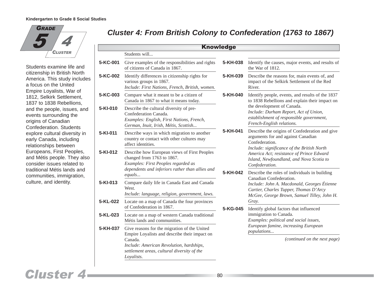5 GRADE % **CLUSTER** 

Students examine life and citizenship in British North America. This study includes a focus on the United Empire Loyalists, War of 1812, Selkirk Settlement, 1837 to 1838 Rebellions, and the people, issues, and events surrounding the origins of Canadian Confederation. Students explore cultural diversity in early Canada, including relationships between Europeans, First Peoples, and Métis people. They also consider issues related to traditional Métis lands and communities, immigration, culture, and identity.

# **Cluster 4: From British Colony to Confederation (1763 to 1867)**

|          |                                                                                                                                                                      | <b>Knowledge</b>     |                                                                                                                                                                                                                                                                                                                                            |
|----------|----------------------------------------------------------------------------------------------------------------------------------------------------------------------|----------------------|--------------------------------------------------------------------------------------------------------------------------------------------------------------------------------------------------------------------------------------------------------------------------------------------------------------------------------------------|
|          | Students will                                                                                                                                                        |                      |                                                                                                                                                                                                                                                                                                                                            |
| 5-KC-001 | Give examples of the responsibilities and rights<br>of citizens of Canada in 1867.                                                                                   | 5-KH-038             | Identify the causes, major events, and results of<br>the War of 1812.                                                                                                                                                                                                                                                                      |
| 5-KC-002 | Identify differences in citizenship rights for<br>various groups in 1867.<br>Include: First Nations, French, British, women.                                         | 5-KH-039             | Describe the reasons for, main events of, and<br>impact of the Selkirk Settlement of the Red<br>River.                                                                                                                                                                                                                                     |
| 5-KC-003 | Compare what it meant to be a citizen of<br>Canada in 1867 to what it means today.                                                                                   | 5-KH-040             | Identify people, events, and results of the 1837<br>to 1838 Rebellions and explain their impact on                                                                                                                                                                                                                                         |
| 5-KI-010 | Describe the cultural diversity of pre-<br>Confederation Canada.<br>Examples: English, First Nations, French,<br>German, Inuit, Irish, Métis, Scottish               |                      | the development of Canada.<br>Include: Durham Report, Act of Union,<br>establishment of responsible government,<br>French-English relations.                                                                                                                                                                                               |
| 5-KI-011 | Describe ways in which migration to another<br>country or contact with other cultures may<br>affect identities.                                                      | 5-KH-041<br>5-KH-042 | Describe the origins of Confederation and give<br>arguments for and against Canadian<br>Confederation.<br>Include: significance of the British North<br>America Act; resistance of Prince Edward<br>Island, Newfoundland, and Nova Scotia to<br>Confederation.<br>Describe the roles of individuals in building<br>Canadian Confederation. |
| 5-KI-012 | Describe how European views of First Peoples<br>changed from 1763 to 1867.<br>Examples: First Peoples regarded as<br>dependents and inferiors rather than allies and |                      |                                                                                                                                                                                                                                                                                                                                            |
|          | equals                                                                                                                                                               |                      |                                                                                                                                                                                                                                                                                                                                            |
| 5-KI-013 | Compare daily life in Canada East and Canada<br>West.<br>Include: language, religion, government, laws.                                                              |                      | Include: John A. Macdonald, Georges Étienne<br>Cartier, Charles Tupper, Thomas D'Arcy<br>McGee, George Brown, Samuel Tilley, John H.                                                                                                                                                                                                       |
| 5-KL-022 | Locate on a map of Canada the four provinces<br>of Confederation in 1867.                                                                                            | 5-KG-045             | Gray.<br>Identify global factors that influenced                                                                                                                                                                                                                                                                                           |
| 5-KL-023 | Locate on a map of western Canada traditional<br>Métis lands and communities.                                                                                        |                      | immigration to Canada.<br>Examples: political and social issues,                                                                                                                                                                                                                                                                           |
| 5-KH-037 | Give reasons for the migration of the United<br>Empire Loyalists and describe their impact on                                                                        |                      | European famine, increasing European<br>populations                                                                                                                                                                                                                                                                                        |
|          | Canada.<br>Include: American Revolution, hardships,<br>settlement areas, cultural diversity of the<br>Loyalists.                                                     |                      | (continued on the next page)                                                                                                                                                                                                                                                                                                               |

# **Cluster 4**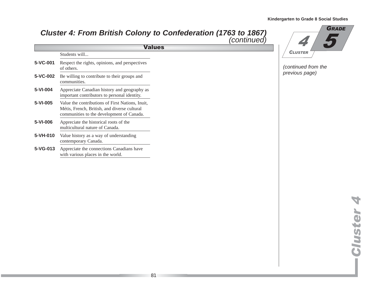# **Cluster 4: From British Colony to Confederation (1763 to 1867)** (continued)

| <b>Values</b> |                                                                                                                                               |  |  |
|---------------|-----------------------------------------------------------------------------------------------------------------------------------------------|--|--|
|               | Students will                                                                                                                                 |  |  |
| 5-VC-001      | Respect the rights, opinions, and perspectives<br>of others.                                                                                  |  |  |
| 5-VC-002      | Be willing to contribute to their groups and<br>communities.                                                                                  |  |  |
| 5-VI-004      | Appreciate Canadian history and geography as<br>important contributors to personal identity.                                                  |  |  |
| 5-VI-005      | Value the contributions of First Nations, Inuit,<br>Métis, French, British, and diverse cultural<br>communities to the development of Canada. |  |  |
| 5-VI-006      | Appreciate the historical roots of the<br>multicultural nature of Canada.                                                                     |  |  |
| 5-VH-010      | Value history as a way of understanding<br>contemporary Canada.                                                                               |  |  |
| 5-VG-013      | Appreciate the connections Canadians have<br>with various places in the world.                                                                |  |  |



(continued from the previous page)

> **Cluster 4 Cluster 4**

> > Π